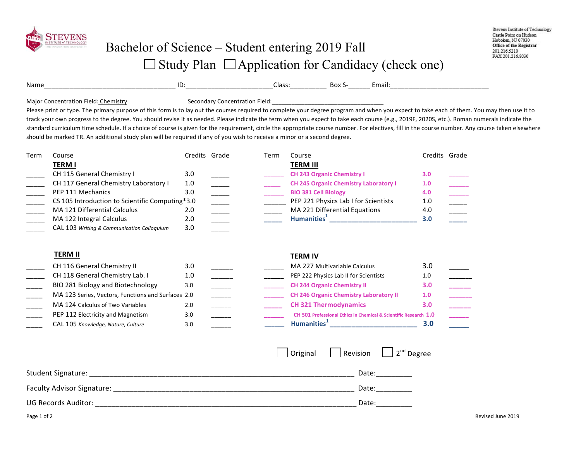

Name\_\_\_\_\_\_\_\_\_\_\_\_\_\_\_\_\_\_\_\_\_\_\_\_\_\_\_\_\_\_\_\_\_\_\_\_ ID:\_\_\_\_\_\_\_\_\_\_\_\_\_\_\_\_\_\_\_\_\_\_\_\_Class:\_\_\_\_\_\_\_\_\_\_ Box S-\_\_\_\_\_\_ Email:\_\_\_\_\_\_\_\_\_\_\_\_\_\_\_\_\_\_\_\_\_\_\_\_\_\_\_

Major Concentration Field: Chemistry **Secondary Concentration Field:** Major Concentration Field:

Please print or type. The primary purpose of this form is to lay out the courses required to complete your degree program and when you expect to take each of them. You may then use it to track your own progress to the degree. You should revise it as needed. Please indicate the term when you expect to take each course (e.g., 2019F, 2020S, etc.). Roman numerals indicate the standard curriculum time schedule. If a choice of course is given for the requirement, circle the appropriate course number. For electives, fill in the course number. Any course taken elsewhere should be marked TR. An additional study plan will be required if any of you wish to receive a minor or a second degree.

| Term | Course                                          | Credits Grade | Term | Course                                       | Credits Grade |  |
|------|-------------------------------------------------|---------------|------|----------------------------------------------|---------------|--|
|      | <b>TERM I</b>                                   |               |      | <b>TERM III</b>                              |               |  |
|      | CH 115 General Chemistry I                      | 3.0           |      | <b>CH 243 Organic Chemistry I</b>            | 3.0           |  |
|      | CH 117 General Chemistry Laboratory I           | 1.0           |      | <b>CH 245 Organic Chemistry Laboratory I</b> | 1.0           |  |
|      | PEP 111 Mechanics                               | 3.0           |      | <b>BIO 381 Cell Biology</b>                  | 4.0           |  |
|      | CS 105 Introduction to Scientific Computing*3.0 |               |      | PEP 221 Physics Lab I for Scientists         | 1.0           |  |
|      | MA 121 Differential Calculus                    | 2.0           |      | MA 221 Differential Equations                | 4.0           |  |
|      | MA 122 Integral Calculus                        | 2.0           |      | Humanities <sup>1</sup>                      | 3.0           |  |
|      | CAL 103 Writing & Communication Colloquium      | 3.0           |      |                                              |               |  |

| <b>TERM II</b>                                     |     |  | <b>TERM IV</b>                                                   |                  |
|----------------------------------------------------|-----|--|------------------------------------------------------------------|------------------|
| CH 116 General Chemistry II                        | 3.0 |  | MA 227 Multivariable Calculus                                    | 3.0              |
| CH 118 General Chemistry Lab. I                    | 1.0 |  | PEP 222 Physics Lab II for Scientists                            | 1.0              |
| BIO 281 Biology and Biotechnology                  | 3.0 |  | <b>CH 244 Organic Chemistry II</b>                               | 3.0 <sub>2</sub> |
| MA 123 Series, Vectors, Functions and Surfaces 2.0 |     |  | <b>CH 246 Organic Chemistry Laboratory II</b>                    | 1.0              |
| MA 124 Calculus of Two Variables                   | 2.0 |  | <b>CH 321 Thermodynamics</b>                                     |                  |
| PEP 112 Electricity and Magnetism                  | 3.0 |  | CH 501 Professional Ethics in Chemical & Scientific Research 1.0 |                  |
| CAL 105 Knowledge, Nature, Culture                 | 3.0 |  | <b>Humanities</b>                                                | 3.0              |

|                            | Original | Revision $\Box$ 2 <sup>nd</sup> Degree |
|----------------------------|----------|----------------------------------------|
| <b>Student Signature:</b>  |          | Date:                                  |
| Faculty Advisor Signature: |          | Date:                                  |
| <b>UG Records Auditor:</b> |          | Date:                                  |